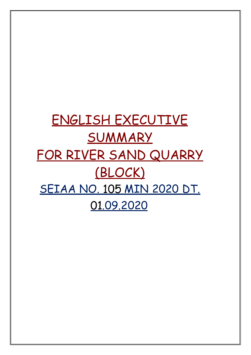# ENGLISH EXECUTIVE SUMMARY FOR RIVER SAND QUARRY (BLOCK) SEIAA NO. 105 MIN 2020 DT. .09.2020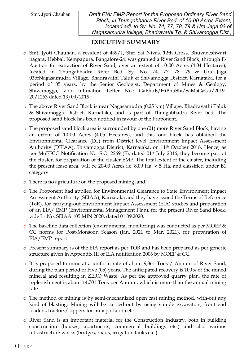# EXECUTIVE SUMMARY

- o Smt. Jyoti Chauhan, a resident of 439/1, Shri Sai Nivas, 12th Cross, Bhuvaneshwari nagara, Hebbal, Kempapura, Bangalore-24, was granted a River Sand Block, through E-Auction for extraction of River Sand, over an extent of 10-00 Acres (4.04 Hectares), located in Thungabhadra River Bed, Sy. No. 74, 77, 78, 79 & Ura Jaga 03ofNagasamudra Village, Bhadravathi Taluk & Shivamogga District, Karnataka, for a period of 05 years, by the Senior Geologist, Department of Mines & Geology, Shivamogga, vide Intimation Letter No.: GaBhuE/HiBhuShi/SaMaGaGu/2019- 20/1263 dated 13/09/2019.
- o The above River Sand Block is near Nagasamudra (0.25 km) Village, Bhadravathi Taluk & Shivamogga District, Karnataka, and is part of Thungabhadra River bed. The proposed sand block has been notified in favour of the Proponent.
- o The proposed sand block area is surrounded by one (01) more River Sand Block, having an extent of 10-00 Acres (4.05 Hectares), and this one block has obtained the Environmental Clearance (EC) from District level Environment Impact Assessment Authority (DEIAA), Shivamogga District, Karnataka, on 11th October 2018. Hence, as per MoEFCC Notification No. S.O. 2269 (E), dated 01st July 2016, they become part of the cluster, for preparation of the cluster EMP. The total extent of the cluster, including the present lease area, will be 20-00 Acres i.e. 8.09 Ha. > 5 Ha. and classified under B1 category.
- o There is no agriculture on the proposed mining land.
- o The Proponent had applied for Environmental Clearance to State Environment Impact Assessment Authority (SEIAA), Karnataka and they have issued the Terms of Reference (ToR), for carrying-out Environment Impact Assessment (EIA) studies and preparation of an EIA/ EMP (Environmental Management Plan), for the present River Sand Block, vide Lr No. SEIAA 105 MIN 2020, dated 01.09.2020.
- o The baseline data collection (environmental monitoring) was conducted as per MOEF & CC norms for Post-Monsoon Season (Jan. 2021 to Mar. 2021), for preparation of EIA/EMP report
- o Present summary is of the EIA report as per TOR and has been prepared as per generic structure given in Appendix III of EIA notification 2006 by MOEF & CC.
- o It is proposed to mine at a uniform rate of about 9,861 Tons / Annum of River Sand, during the plan period of Five (05) years. The anticipated recovery is 100% of the mined mineral and resulting in ZERO Waste. As per the approved quarry plan, the rate of replenishment is about 14,701 Tons per Annum, which is more than the annual mining rate.
- o The method of mining is by semi-mechanized open cast mining method, with-out any kind of blasting. Mining will be carried-out by using simple excavators, front end loaders, tractors/ tippers for transportation etc.
- o River Sand is an important material for the Construction Industry, both in building construction (houses, apartments, commercial buildings etc.) and also various infrastructure works (bridges, roads, irrigation tanks etc.).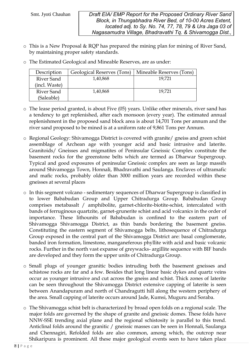(Saleable)

Smt. Jyoti Chauhan *Draft EIA/ EMP Report for the Proposed Ordinary River Sand Block, in Thungabhadra River Bed, of 10-00 Acres Extent, located adj. to Sy. No. 74, 77, 78, 79 & Ura Jaga 03 of Nagasamudra Village, Bhadravathi Tq. & Shivamogga Dist.,* 

- o This is a New Proposal & RQP has prepared the mining plan for mining of River Sand, by maintaining proper safety standards.
- Description | Geological Reserves (Tons) | Mineable Reserves (Tons) River Sand (incl. Waste) 1,40,868 19,721 River Sand 1,40,868 19,721
- o The Estimated Geological and Mineable Reserves, are as under:

- o The lease period granted, is about Five (05) years. Unlike other minerals, river sand has a tendency to get replenished, after each monsoon (every year). The estimated annual replenishment in the proposed sand block area is about 14,701 Tons per annum and the river sand proposed to be mined is at a uniform rate of 9,861 Tons per Annum.
- o Regional Geology: Shivamogga District is covered with granite/ gneiss and green schist assemblage of Archean age with younger acid and basic intrusive and laterite. Granitoids/ Gneisses and migmatites of Peninsular Gneissic Complex constitute the basement rocks for the greenstone belts which are termed as Dharwar Supergroup. Typical and good exposures of peninsular Gneissic complex are seen as large massifs around Shivamogga Town, Honnali, Bhadravathi and Saulanga. Enclaves of ultramafic and mafic rocks, probably older than 3000 million years are recorded within these gneisses at several places
- o In this segment volcano sedimentary sequences of Dharwar Supergroup is classified in to lower Bababudan Group and Upper Chitradurga Group. Bababudan Group comprises metabasalt / amphibolite, garnet-chlorite-biotite-schist, intercalated with bands of ferruginous quartzite, garnet-grunerite schist and acid volcanics in the order of importance. These lithounits of Bababudan is confined to the eastern part of Shivamogga Shivamogga District, as thin bands bordering the basement gneiss. Constituting the eastern segment of Shivamogga belts, lithosequence of Chitradurga Group exposed in the central part of the Shivamogga District are: basal conglomerate, banded iron formation, limestone, manganeferous phyllite with acid and basic volcanic rocks. Further in the north vast expanse of greywacks- argillite sequence with BIF bands are developed and they form the upper units of Chitradurga Group.
- o Small plugs of younger granitic bodies intruding both the basement gneisses and schistose rocks are far and a few. Besides that long linear basic dykes and quartz veins occur as younger intrusive and cut across the gneiss and schist. Thick zones of laterite can be seen throughout the Shivamogga District extensive capping of laterite is seen between Anandapuram and north of Chandragutti hill along the western periphery of the area. Small capping of laterite occurs around Jade, Kumsi, Muguru and Soraba.
- o The Shivamogga schist belt is characterized by broad open folds on a regional scale. The major folds are governed by the shape of granite and gneissic domes. These folds have NNW-SSE trending axial plane and the regional schistosity is parallel to this trend. Anticlinal folds around the granitic / gneissic masses can be seen in Honnali, Saulanga and Chennagiri, Refolded folds are also common, among which, the outcrop near Shikaripura is prominent. All these major geological events seen to have taken place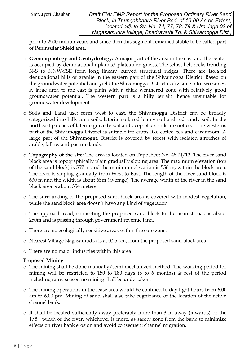prior to 2500 million years and since then this segment remained stable to be called part of Peninsular Shield area.

- o Geomorphology and Geohydrology: A major part of the area in the east and the center is occupied by denudational uplands/ plateau on gneiss. The schist belt rocks trending N-S to NNW-SSE form long linear/ curved structural ridges. There are isolated denudational hills of granite in the eastern part of the Shivamogga District. Based on the groundwater potential and yield the Shivamogga District is divisible into two zones. A large area to the east is plain with a thick weathered zone with relatively good groundwater potential. The western part is a hilly terrain, hence unsuitable for groundwater development.
- o Soils and Land use: form west to east, the Shivamogga District can be broadly categorized into hilly area soils, laterite soil, red loamy soil and red sandy soil. In the northeast patches of laterite gravelly soil and deep black soils are noticed. The westerns part of the Shivamogga District is suitable for crops like coffee, tea and cardamom. A large part of the Shivamogga District is covered by forest with isolated stretches of arable, fallow and pasture lands.
- $\circ$  Topography of the site: The area is located on Toposheet No. 48 N/12. The river sand block area is topographically plain gradually sloping area. The maximum elevation (top of the sand block) is 557 m and the minimum elevation is 556 m, within the block area. The river is sloping gradually from West to East. The length of the river sand block is 630 m and the width is about 65m (average). The average width of the river in the sand block area is about 354 meters.
- o The surrounding of the proposed sand block area is covered with modest vegetation, while the sand block area doesn't have any kind of vegetation.
- o The approach road, connecting the proposed sand block to the nearest road is about 250m and is passing through government revenue land.
- o There are no ecologically sensitive areas within the core zone.
- o Nearest Village Nagasamudra is at 0.25 km, from the proposed sand block area.
- o There are no major industries within this area.

## Proposed Mining

- o The mining shall be done manually/semi-mechanized method. The working period for mining will be restricted to 150 to 180 days (5 to 6 months) & rest of the period including rainy season no mining shall be undertaken.
- o The mining operations in the lease area would be confined to day light hours from 6.00 am to 6.00 pm. Mining of sand shall also take cognizance of the location of the active channel bank.
- o It shall be located sufficiently away preferably more than 3 m away (inwards) or the  $1/8<sup>th</sup>$  width of the river, whichever is more, as safety zone from the bank to minimize effects on river bank erosion and avoid consequent channel migration.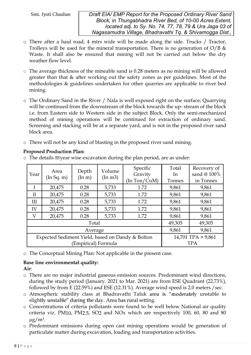- o There after a haul road, 4 mtrs wide will be made along the side. Trucks / Tractor, Trolleys will be used for the mineral transportation. There is no generation of  $O/B$  & Waste. It shall also be ensured that mining will not be carried out below the dry weather flow level.
- o The average thickness of the mineable sand is 0.28 meters as no mining will be allowed greater than that & after working out the safety zones as per guidelines. Most of the methodologies & guidelines undertaken for other quarries are applicable to river bed mining.
- o The Ordinary Sand in the River / Nala is well exposed right on the surface; Quarrying will be continued from the downstream of the block towards the up- stream of the block i.e. from Eastern side to Western side in the subject Block. Only the semi-mechanized method of mining operations will be continued for extraction of ordinary sand. Screening and stacking will be at a separate yard, and is not in the proposed river sand block area.
- o There will not be any kind of blasting in the proposed river sand mining.

| Year                                             | Area<br>(In Sq. m) | Depth<br>$(\text{In } \text{m})$ | Volume<br>(In m3) | Specific<br>Gravity<br>(In Ton/CuM) | Total<br>In.<br>Tonnes | Recovery of<br>sand @ 100%<br>in Tonnes |
|--------------------------------------------------|--------------------|----------------------------------|-------------------|-------------------------------------|------------------------|-----------------------------------------|
| $\bf{I}$                                         | 20,475             | 0.28                             | 5,733             | 1.72                                | 9,861                  | 9,861                                   |
| $\mathbf{I}$                                     | 20,475             | 0.28                             | 5,733             | 1.72                                | 9,861                  | 9,861                                   |
| III                                              | 20,475             | 0.28                             | 5,733             | 1.72                                | 9,861                  | 9,861                                   |
| IV                                               | 20,475             | 0.28                             | 5,733             | 1.72                                | 9,861                  | 9,861                                   |
| V                                                | 20,475             | 0.28                             | 5,733             | 1.72                                | 9,861                  | 9,861                                   |
|                                                  |                    | 49,305                           | 49,305            |                                     |                        |                                         |
| Average                                          |                    |                                  |                   |                                     | 9,861                  | 9,861                                   |
| Expected Sediment Yield, based on Dandy & Bolton |                    |                                  |                   |                                     |                        | 14,701 TPA > 9,861                      |
| Empirical) Formula                               |                    |                                  |                   |                                     |                        | <b>TPA</b>                              |

# Proposed Production Plan:

 $\circ$  The details of year wise excavation during the plan period, are as under:

o The Conceptual Mining Plan: Not applicable in the present case.

# Base line environmental quality:

Air:

- o There are no major industrial gaseous emission sources. Predominant wind directions, during the study period (January. 2021 to Mar. 2021) are from ESE Quadrant (22.73%), followed by from E (22.59%) and ESE (12.31%). Average wind speed is 2.0 meters /sec.
- o Atmospheric stability class at Bhadravathi Taluk area is "moderately unstable to slightly unstable" during the day. Area has rural setting.
- o Concentrations of criteria pollutants were found to be well below National air quality criteria viz. PM10, PM2.5, SO2 and NOx which are respectively 100, 60, 80 and 80  $\mu$ g/m<sup>3</sup>.
- o Predominant emissions during open cast mining operations would be generation of particulate matter during excavation, loading and transportation activities.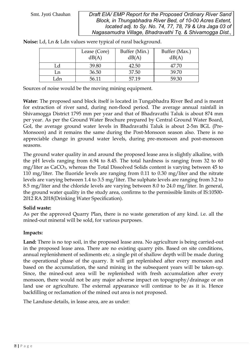|     | Lease (Core)<br>dB(A) | Buffer (Min.)<br>dB(A) | Buffer (Max.)<br>dB(A) |
|-----|-----------------------|------------------------|------------------------|
| Ld  | 39.80                 | 42.50                  | 47.70                  |
| Ln  | 36.50                 | 37.50                  | 39.70                  |
| ⊥dn | 56.11                 | 57.19                  | 59.30                  |

Noise: Ld, Ln & Ldn values were typical of rural background.

Sources of noise would be the moving mining equipment.

Water: The proposed sand block itself is located in Tungabhadra River Bed and is meant for extraction of river sand, during non-flood period. The average annual rainfall in Shivamogga District 1795 mm per year and that of Bhadravathi Taluk is about 874 mm per year. As per the Ground Water Brochure prepared by Central Ground Water Board, GoI, the average ground water levels in Bhadravathi Taluk is about 2-5m BGL (Pre-Monsoon) and it remains the same during the Post-Monsoon season also. There is no appreciable change in ground water levels, during pre-monsoon and post-monsoon seasons.

The ground water quality in and around the proposed lease area is slightly alkaline, with the pH levels ranging from 6.94 to 8.45. The total hardness is ranging from 32 to 60 mg/liter as CaCO3, whereas the Total Dissolved Solids content is varying between 45 to 110 mg/liter. The fluoride levels are ranging from 0.11 to 0.30 mg/liter and the nitrate levels are varying between 1.4 to 3.5 mg/liter. The sulphate levels are ranging from 3.2 to 8.5 mg/liter and the chloride levels are varying between 8.0 to 24.0 mg/liter. In general, the ground water quality in the study area, confirms to the permissible limits of IS:10500- 2012 RA 2018(Drinking Water Specification).

## Solid waste:

As per the approved Quarry Plan, there is no waste generation of any kind. i.e. all the mined-out mineral will be sold, for various purposes.

## Impacts:

Land: There is no top soil, in the proposed lease area. No agriculture is being carried-out in the proposed lease area. There are no existing quarry pits. Based on site conditions, annual replenishment of sediments etc. a single pit of shallow depth will be made during the operational phase of the quarry. It will get replenished after every monsoon and based on the accumulation, the sand mining in the subsequent years will be taken-up. Since, the mined-out area will be replenished with fresh accumulation after every monsoon, there would not be any major adverse impact on topography/drainage or on land use or agriculture. The external appearance will continue to be as it is. Hence backfilling or reclamation of the mined out area is not proposed.

The Landuse details, in lease area, are as under: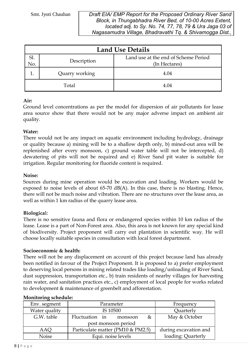| <b>Land Use Details</b> |                |                                                       |  |  |  |
|-------------------------|----------------|-------------------------------------------------------|--|--|--|
| SI<br>No.               | Description    | Land use at the end of Scheme Period<br>(In Hectares) |  |  |  |
|                         | Quarry working | 4.04                                                  |  |  |  |
|                         | Total          | 4.04                                                  |  |  |  |

# Air:

Ground level concentrations as per the model for dispersion of air pollutants for lease area source show that there would not be any major adverse impact on ambient air quality.

# Water:

There would not be any impact on aquatic environment including hydrology, drainage or quality because a) mining will be to a shallow depth only, b) mined-out area will be replenished after every monsoon, c) ground water table will not be intercepted, d) dewatering of pits will not be required and e) River Sand pit water is suitable for irrigation. Regular monitoring for fluoride content is required.

## Noise:

Sources during mine operation would be excavation and loading. Workers would be exposed to noise levels of about 65-70 dB(A). In this case, there is no blasting. Hence, there will not be much noise and vibration. There are no structures over the lease area, as well as within 1 km radius of the quarry lease area.

# Biological:

There is no sensitive fauna and flora or endangered species within 10 km radius of the lease. Lease is a part of Non-Forest area. Also, this area is not known for any special kind of biodiversity. Project proponent will carry out plantation in scientific way. He will choose locally suitable species in consultation with local forest department.

## Socioeconomic & health:

There will not be any displacement on account of this project because land has already been notified in favour of the Project Proponent. It is proposed to a) prefer employment to deserving local persons in mining related trades like loading/unloading of River Sand, dust suppression, transportation etc., b) train residents of nearby villages for harvesting rain water, and sanitation practices etc., c) employment of local people for works related to development & maintenance of greenbelt and afforestation.

| Parameter                         | Frequency             |  |  |  |  |  |
|-----------------------------------|-----------------------|--|--|--|--|--|
| IS 10500                          | Quarterly             |  |  |  |  |  |
| Fluctuation in<br>&<br>monsoon    | May & October         |  |  |  |  |  |
| post monsoon period               |                       |  |  |  |  |  |
| Particulate matter (PM10 & PM2.5) | during excavation and |  |  |  |  |  |
| Equi. noise levels                | loading: Quarterly    |  |  |  |  |  |
|                                   |                       |  |  |  |  |  |

## Monitoring schedule: